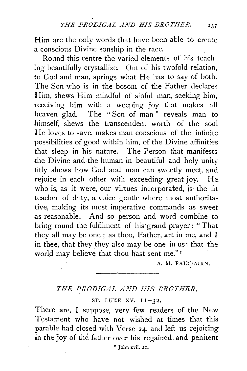Him are the only words that have been able to create a. conscious Divine sonship in the race.

Round this centre the varied elements of his teaching beautifully crystallize. Out of his twofold relation, to God and man, springs what He has to say of both. The Son who is in the bosom of the Father declares Him, shews Him mindful of sinful man, seeking him, receiving him with a weeping joy that makes all heaven glad. The "Son of man" reveals man to himself, shews the transcendent worth of the soul He loves to save, makes man conscious of the infinite possibilities of good within him, of the Divine affinities that sleep in his nature. The Person that manifests the Divine and the human in beautiful and holy unity fitly shews how God and man can sweetly meet, and rejoice in each other with exceeding great joy. He who is, as it were, our virtues incorporated, is the fit teacher of duty, a voice gentle where most authoritative, making its most imperative commands as sweet as reasonable. And so person and word combine to bring round the fulfilment of his grand prayer: "That they all may be one; as thou, Father, art in me, and I in thee, that they they also may be one in us: that the world may believe that thou hast sent me." 1

A. M. FAIRBAIRN.

## *THE PRODIG.AL AND HIS BROTHER.*

ST. LUKE XV.  $I1-32$ .

There are, I suppose, very few readers of the New Testament who have not wished at times that this parable had closed with Verse 24, and left us rejoicing in the joy of the father over his regained and penitent

• John xvii. 21.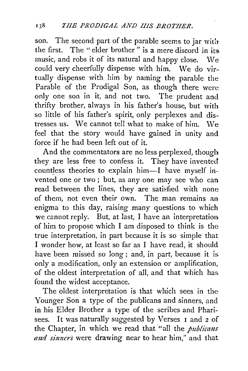son. The second part of the parable seems to jar with the first. The " elder brother " is a mere discord in its. music, and robs it of its natural and happy close.  $\aleph$ e could very cheerfully dispense with him. We do virtually dispense with him by naming the parable the Parable of the Prodigal Son, as though there were only one son in it, and not two. The prudent and thrifty brother, always in his father's house, but with so little of his father's spirit, only perplexes and distresses us. We cannot tell what to make of him. We feel that the story would have gained in unity and force if he had been left out of it.

And the commentators are no less perplexed, though they are less free to confess it. They have invented countless theories to explain him-I have myself invented one or two ; but, as any one may see who can read between the lines, they are satisfied with none of them, not even their own. The man remains an enigma to this day, raising many questions to which we cannot reply. But, at last, I have an interpretation of him to propose which I am disposed to think is the true interpretation, in part because it is so simple that I wonder how, at least so far as I have read, it should have been missed so long; and, in part, because it is. only a modification, only an extension or amplification, of the oldest interpretation of all, and that which has. found the widest acceptance.

The oldest interpretation is that which sees in the Younger Son a type of the publicans and sinners, and in his Elder Brother a type of the scribes and Pharisees. It was naturally suggested by Verses I and *2* of the Chapter, in which we read that "all the *publicans* and sinners were drawing near to hear him," and that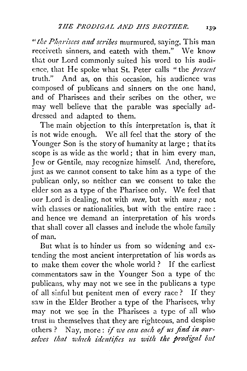*"t/;c Pharisees and scribes* murmured, saying, This man receiveth sinners, and eateth with them." We know that our Lord commonly suited his word to his audience, that He spoke what St. Peter calls "the *present* truth." And as, on this occasion, his audience was composed of publicans and sinners on the one hand, and of Pharisees and their scribes on the other, we may well believe that the parable was specially addressed and adapted to them.

The main objection to this interpretation is, that it is not wide enough. We all feel that the story of the-Younger Son is the story of humanity at large; that its. scope is as wide as the world ; that in him every man, Jew or Gentile, may recognize himself. And, therefore, just as we cannot consent to take him as a type of the publican only, so neither can we consent to take the elder son as a type of the Pharisee only. We feel that our Lord is dealing, not with *men*, but with *man*; not with classes or nationalities, but with the entire race  $:$ and hence we demand an interpretation of his words. that shall cover all classes and include the whole family of man.

But what is to hinder us from so widening and extending the most ancient interpretation of his words as. to make them cover the whole world? If the earliest commentators saw in the Younger Son a type of the publicans, why may not we see in the publicans a type of all sinful but penitent men of every race? If they saw in the Elder Brother a type of the Pharisees, why may not we see in the Pharisees a type of all who trust in themselves that they are righteous, and despise others? Nay, more: *if we can each of us find in our*selves that which identifies us with the prodigal but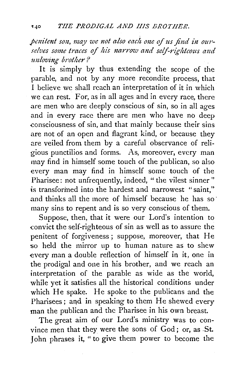penitent son, may we not also each one of us find in our*selves some traces of !tis 1zarrow and selj-rig!ttcous a11d 111tloving brother?* 

It is simply by thus extending the scope of the parable, and not by any more recondite process, that I believe we shall reach an interpretation of it in which we can rest. For, as in all ages and in every race, there are men who are deeply conscious of sin, so in all ages and in every race there are men who have no deep consciousness of sin, and that mainly because their sins are not of an open and flagrant kind, or because they are veiled from them by a careful observance of religious punctilios and forms. As, moreover, every man may find in himself some touch of the publican, so also every man may find in himself some touch of the Pharisee: not unfrequently, indeed, "the vilest sinner" is transformed into the hardest and narrowest "saint," and thinks all the more of himself because he has so· many sins to repent and is so very conscious of them.

Suppose, then, that it were our Lord's intention to convict the self-righteous of sin as well as to assure the penitent of forgiveness; suppose, moreover, that He so held the mirror up to human nature as to shew every man a double reflection of himself in it, one in the prodigal and one in his brother, and we reach an interpretation of the parable as wide as the world, while yet it satisfies all the historical conditions under which He spake. He spoke to the publicans and the Pharisees; and in speaking to them He shewed every man the publican and the Pharisee in his own breast.

The great aim of our Lord's ministry was to convince men that they were the sons of God; or, as St. John phrases it, " to give them power to become the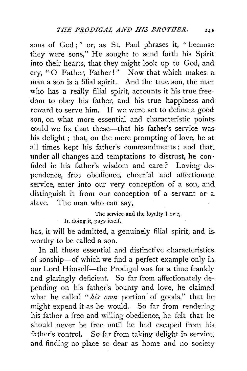sons of God;" or, as St. Paul phrases it, " because they were sons," He sought to send forth his Spirit into their hearts, that they might look up to God, and cry, "0 Father, Father!" Now that which makes a man a son is a filial spirit. And the true son, the man who has a really filial spirit, accounts it his true freedom to obey his father, and his true happiness and reward to serve him. If we were set to define a good son, on what more essential and characteristic points could we fix than these---that his father's service was. his delight ; that, on the mere prompting of love, he at all times kept his father's commandments; and that, under all changes and temptations to distrust, he con· fided in his father's wisdom and care ? Loving dependence, free obedience, cheerful and affectionate service, enter into our very conception of a son, and distinguish it from our conception of a servant or a. slave. The man who can say,

> The service and the loyalty I owe, In doing it, pays itself,

has, it will be admitted, a genuinely filial spirit, and is. worthy to be called a son.

In all these essential and distinctive characteristics of sonship-of which we find a perfect example only in our Lord Himself-the Prodigal was for a time frankly and glaringly deficient. So far from affectionately depending on his father's bounty and love, he claimed what he called *"his own* portion of goods," that he might expend it as he would. So far from rendering his father a free and willing obedience, he felt that he should never be free until he had escaped from his. father's control. So far from taking delight in service, and finding no place so dear as home and no society-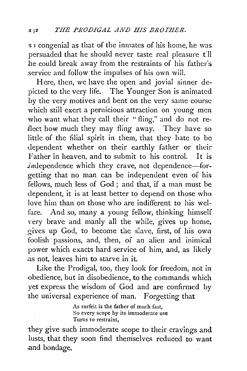s congenial as that of the inmates of his home, he was persuaded that he should never taste real pleasure till he could break away from the restraints of his father's .service and follow the impulses of his own will.

Here, then, we have the open and jovial sinner depicted to the very life. The Younger Son is animated by the very motives and bent on the very same course which still exert a pernicious attraction on young men who want what they call their "fling," and do not re-41ect how much they may fling away. They have so little of the filial spirit in them, that they hate to be dependent whether on their earthly father or their Father in heaven, and to submit to his control. It is  $i$ ndependence which they crave, not dependence-forgetting that no man can be independent even of his fellows, much less of God ; and that, if a man must be dependent, it is at least better to depend on those who love him than on those who are indifferent to his welfare. And so, many a young fellow, thinking himself very brave and manly all the while, gives up home, :gives up God, to become the slave, first, of his own foolish passions, and, then, of an alien and inimical power which exacts hard service of him, and, as likely .as not, leaves him to starve in it.

Like the Prodigal, too, they look for freedom, not in -obedience, but in disobedience, to the commands which yet express the wisdom of God and are confirmed by the universal experience of man. Forgetting that

> As surfeit is the father of much fast, So every scope by its immoderate use Turns to restraint,

they give such immoderate scope to their cravings and lusts, that they soon find themselves reduced to want .and bondage.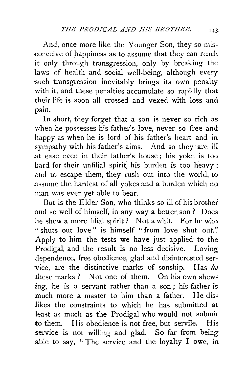And, once more like the Younger Son, they so mis- -conceive of happiness as to assume that they can reach it only through transgression, only by breaking the laws of health and social well-being, although every such transgression inevitably brings its own penalty with it, and these penalties accumulate so rapidly that their life is soon all crossed and vexed with loss and pain.

In short, they forget that a son is never so rich as when he possesses his father's love, never so free and happy as when he is lord of his father's heart and in sympathy with his father's aims. And so they are ill at ease even in their father's house; his yoke is too hard for their unfilial spirit, his burden is too heavy : .and to escape them, they rush out into the world, to .assume the hardest of all yokes and a burden which no man was ever yet able to bear.

But is the Elder Son, who thinks so ill of his brother .and so well of himself, in any way a better son ? Does he shew a more filial spirit ? Not a whit. For he who " shuts out love" is himself " from love shut out." Apply to him the tests we have just applied to the Prodigal, and the result is no less decisive. Loving dependence, free obedience, glad and disinterested service, are the distinctive marks of sonship. Has *he*  these marks ? Not one of them. On his own shewing, he is a servant rather than a son; his father is much more a master to him than a father. He dis• likes the constraints to which he has submitted at least as much as the Prodigal who would not submit to them. His obedience is not free, but servile. His service is not willing and glad. So far from being able to say, "The service and the loyalty I owe, in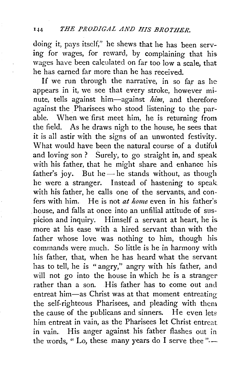## 1-14 *THE PRODIGAL AND HIS BROTHER.*

doing it, pays itself," he shews that he has been serving for wages, for reward, by complaining that his wages have been calculated on far too low a scale, that he has earned far more than he has received.

If we run through the narrative, in so far as he appears in it, we see that every stroke, however minute, tells against him-against *him,* and therefore against the Pharisees who stood listening to the parable. When we first meet him, he is returning from the field. As he draws nigh to the house, he sees that it is all astir with the signs of an unwonted festivity. What would have been the natural course of a dutiful and loving son ? Surely, to go straight in, and speak with his father, that he might share and enhance his father's joy. But he  $-$  he stands without, as though he were a stranger. Instead of hastening to speak with his father, he calls one of the servants, and confers with him. He is not *at home* even in his father's house, and falls at once into an unfilial attitude of suspicion and inquiry. Himself a servant at heart, he is. more at his ease with a hired servant than with the father whose love was nothing to him, though his commands were much. So little is he in harmony with his father, that, when he has heard what the servant has to tell, he is " angry," angry with his father, and will not go into the house in which he is a stranger rather than a son. His father has to come out and entreat him-as Christ was at that moment entreating the self-righteous Pharisees, and pleading with them the cause of the publicans and sinners. He even lets him entreat in vain, as the Pharisees let Christ entreat in vain.. His anger against his father flashes out in the words, "Lo, these many years do I serve thee" $-$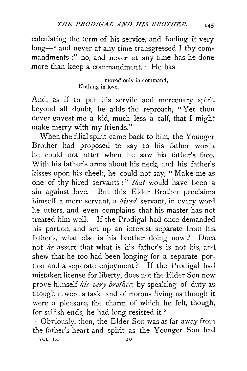calculating the term of his service, and finding it very long-" and never at any time transgressed I thy commandments :" no, and never at any time has he done more than keep a commandment. · He has

> moved only in command, Nothing in love.

And, as if to put his servile and mercenary spirit beyond all doubt, he adds the reproach, "Yet thou neyer gavest me a kid, much less a calf, that I might make merry with my friends."

When the filial spirit came back to him, the Younger Brother had proposed to say to his father words he could not utter when he saw his father's face. With his father's arms about his neck, and his father's kisses upon his cheek, he could not say, "Make me as one of thy hired servants:" *that* would have been a sin against love. But this Elder Brother proclaims himself a mere servant, a *hired* servant, in every word he utters, and even complains that his master has not treated him well. If the Prodigal had once demanded his portion, and set up an interest separate from his. father's, what else is his brother doing now? Does. not *he* assert that what is his father's is not his, and shew that he too had been longing for a separate portion and a separate enjoyment? If the Prodigal had mistaken license for liberty, does not the Elder Son now prove himself *his very brother,* by speaking of duty as though it were a task, and of riotous living as though it. were a pleasure, the charm of which he felt, though, for selfish ends, he had long resisted it ?

Obviously, then, the Elder Son was as far away from the father's heart and spirit as the Younger Son had

VOL. IX. 10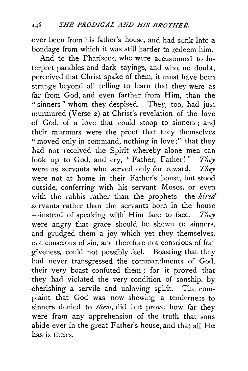ever been from his father's house, and had sunk into a bondage from which it was still harder to redeem him.

And to the Pharisees, who were accustomed to interpret parables and dark sayings, and who, no doubt, perceived that Christ spake of them, it must have been strange beyond all telling to learn that they were as far from God, and even farther from Him, than the " sinners" whom they despised. They, too, had just murmured (Verse 2) at Christ's revelation of the love of God, of a love that could stoop to sinners ; and their murmurs were the proof that they themselves " moved only in command, nothing in love;" that they had not received the Spirit whereby alone men can look up to God, and cry, "Father, Father!" *They*  were as servants who served only for reward. *They*  were not at home in their Father's house, but stood outside, conferring with his servant Moses, or even with the rabbis rather than the prophets-the *hired* servants rather than the servants born in the house -instead of speaking with. Him face to face. *They*  were angry that grace should be shewn to sinners, and grudged them a joy which yet they themselves, not conscious of sin, and therefore not conscious of forgiveness, could not possibly feel. Boasting that they had never transgressed the commandments of God, their very boast confuted them ; for it proved that they had violated the very condition of sonship, by cherishing a servile and unloving spirit. The complaint that God was now shewing a tenderness to sinners denied to *them*, did but prove how far they were from any apprehension of the truth that sons abide ever in the great Father's house, and that all He has is theirs.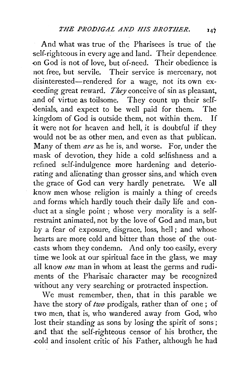And what was true of the Pharisees is true of the self-righteous in every age and land. Their dependence. -on God is not of love, but of·need. Their obedience is not free, but servile. Their service is mercenary, not disinterested-rendered for a wage, not its own ex- -ceeding great reward. *They* conceive of sin as pleasant, and of virtue as toilsome. They count up their selfdenials, and expect to be well paid for them. The kingdom of God is outside them, not within them. If it were not for heaven and hell, it is doubtful if they would not be as other men, and even as that publican. Many of them *are* as he is, and worse. For, under the mask of devotion, they hide a cold selfishness and a refined self-indulgence more hardening and deteriorating and alienating than grosser sins, and which even the grace of God can very hardly penetrate. We all know men whose religion is mainly a thing of creeds .and forms which hardly touch their daily life and con duct at a single point ; whose very morality is a selfrestraint animated, not by the love of God and man, but by a fear of exposure, disgrace, loss, hell; and whose hearts are more cold and bitter than those of the outcasts whom they condemn. And only too easily, every time we look at our spiritual face in the glass, we may all know *one* man in whom at least the germs and rudiments of the Pharisaic character may be recognized without any very searching or protracted inspection.

We must remember, then, that in this parable we have the story of *two* prodigals, rather than of one; of two men, that is, who wandered away from God, who lost their standing as sons by losing the spirit of sons; .and that the self-righteous censor of his brother, the ..cold and insolent critic of his Father, although he had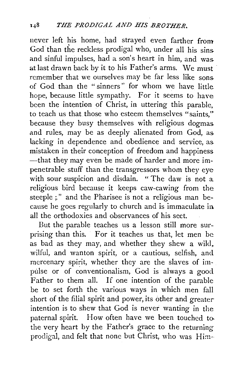never left his home, had strayed even farther from God than the reckless prodigal who, under all his sins and sinful impulses, had a son's heart in him, and was at last drawn back by it to his Father's arms. We must remember that we ourselves may be far less like sons of God than the "sinners" for whom we have little hope, because little sympathy. For it seems to have been the intention of Christ, in uttering this parable, to teach us that those who esteem themselves "saints,'~ because they busy themselves with religious dogmas and rules, may be as deeply alienated from God, as lacking in dependence and obedience and service, as mistaken in their conception of freedom and happiness -that they may even be made of harder and more impenetrable stuff than the transgressors whom they eye with sour suspicion and disdain. "The daw is not a religious bird because it keeps caw-cawing from the steeple :" and the Pharisee is not a religious man because he goes regularly to church and is immaculate in. all the orthodoxies and observances of his sect.

But the parable teaches us a lesson still more surprising than this. For it teaches us that, let men be as bad as they may, and whether they shew a wild. wilful, and wanton spirit, or a cautious, selfish, and mercenary spirit, whether they are the slaves of impulse or of conventionalism, God is always a good Father to them all. If one intention of the parable be to set forth the various ways in which men fall short of the filial spirit and power, its other and greater intention is to shew that God is never wanting in the paternal spirit. How often have we been touched tothe very heart by the Father's grace to the returning prodigal, and felt that none but Christ, who was Him--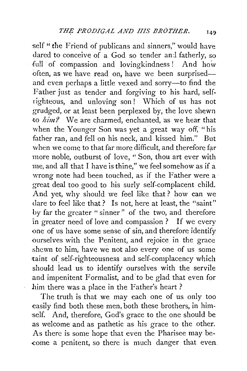self " the Friend of publicans and sinners," would have dared to conceive of a God so tender and fatherly, so full of compassion and lovingkindness! And how often, as we have read on, have we been surprisedand even perhaps a little vexed and sorry-to find the Father just as tender and forgiving to his hard, selfrighteous, and unloving son ! Which of us has not grudged, or at least been perplexed by, the love shewn -to *him'?* We are charmed, enchanted, as we hear that when the Younger Son was yet a great way off, "his father ran, and fell on his neck, and kissed him." But when we come to that far more difficult, and therefore far more noble, outburst of love, " Son, thou art ever with me, and all that I have is thine," we feel somehow as if a wrong note had been touched, as if the Father were a great deal too good to his surly self-complacent child. And yet, why should we feel like that? how can we dare to feel like that? Is not, here at least, the "saint" by far the greater " sinner" of the two, and therefore in greater need of love and compassion ? If we every one of us have some sense of sin, and therefore identify ourselves with the Penitent, and rejoice in the grace shewn to him, have we not also every one of us some rtaint of self-righteousness and self-complacency which should lead us to identify ourselves with the servile and impenitent Formalist, and to be glad that even for him there was a place in the Father's heart ?

The truth is that we may each one of us only too easily find both these men, both these brothers, in him self. And, therefore, God's grace to the one should be as welcome and as pathetic as his grace to the other. As there is some hope that even the Pharisee may be- -come a penitent, so there is much danger that even.